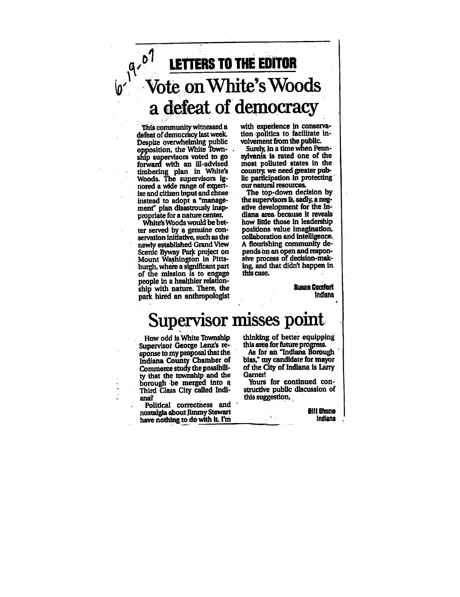

This community witnessed defeat of democracy last week. Despite overwhelming public opposition, the White Town ship supervisors voted to go forward with an ill-advised timbering plan in White's Woods. The supervisors ig nored a wide range of expert ise and citizen input and chose instead to adopt a "management" plan disastrously inap propriate for a nature center.

White's Woods would be bet ter served by a genuine conservation initiative, such as the newly established Grand View Scenic Byway Park project on Mount Washington in Pitts burgh, where a significant part of the mission is to engage people in a healthier relationship with nature. There, the park hired an anthropologist

with experience in conserva tion politics to facilitate in volvement from the public.

Surely, in a time when Pennsylvania is- rated one of the most polluted states in the country, we need greater pub lic participation in protecting our natural resources.

The top-down decision by the supervisors is, sadly, a negative development for the In diana area because it reveals how little those in leadership positions value imagination, collaboration and intelligence.. flourishing community de pends on an open and respon sive process of decision-mak ing, and that didn't happen in this case.

> Susan Comfort **Indiana**

## Supervisor misses point

How odd is White Township Supervisor George Lenz's re sponse to myproposal that the Indiana County Chamber of Commerce study the possibili ty that the township and the borough be merged into Third Class City called Indi ana?

Political correctness and nostalgia about jimmy Stewart have nothing to do with it. I'm

thinking of better equipping this area for future progress.

As for an "Indiana Borough bias," my candidate for mayor of the City of Indiana is Larry Gamer!

Yours for continued con structive public discussion of this suggestion,

 $\sim$   $\gamma$ 

**Bill Shane** Indiana